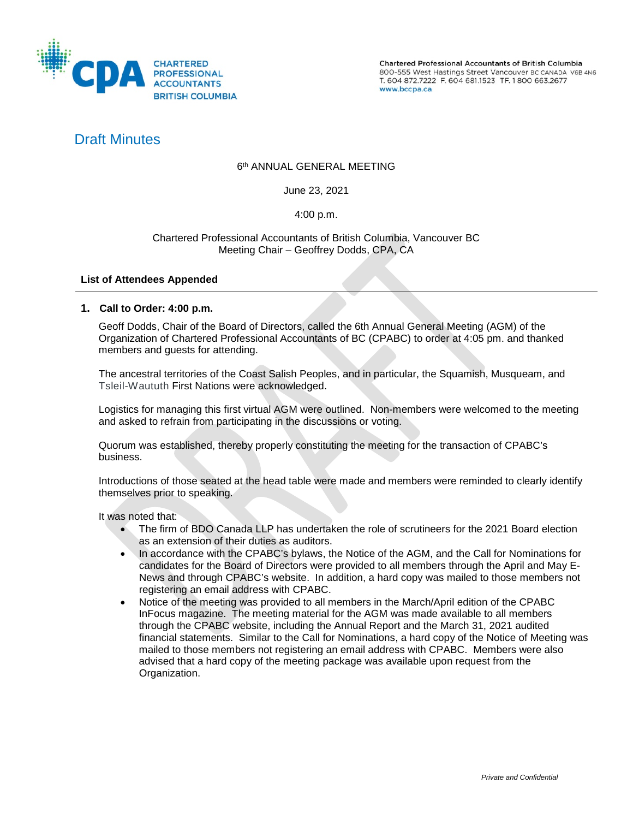

Chartered Professional Accountants of British Columbia 800-555 West Hastings Street Vancouver BC CANADA V6B 4N6 T. 604 872.7222 F. 604 681.1523 TF. 1800 663.2677 www.bccpa.ca

# Draft Minutes

## 6th ANNUAL GENERAL MEETING

June 23, 2021

#### 4:00 p.m.

#### Chartered Professional Accountants of British Columbia, Vancouver BC Meeting Chair – Geoffrey Dodds, CPA, CA

#### **List of Attendees Appended**

#### **1. Call to Order: 4:00 p.m.**

Geoff Dodds, Chair of the Board of Directors, called the 6th Annual General Meeting (AGM) of the Organization of Chartered Professional Accountants of BC (CPABC) to order at 4:05 pm. and thanked members and guests for attending.

The ancestral territories of the Coast Salish Peoples, and in particular, the Squamish, Musqueam, and Tsleil-Waututh First Nations were acknowledged.

Logistics for managing this first virtual AGM were outlined. Non-members were welcomed to the meeting and asked to refrain from participating in the discussions or voting.

Quorum was established, thereby properly constituting the meeting for the transaction of CPABC's business.

Introductions of those seated at the head table were made and members were reminded to clearly identify themselves prior to speaking.

It was noted that:

- The firm of BDO Canada LLP has undertaken the role of scrutineers for the 2021 Board election as an extension of their duties as auditors.
- In accordance with the CPABC's bylaws, the Notice of the AGM, and the Call for Nominations for candidates for the Board of Directors were provided to all members through the April and May E-News and through CPABC's website. In addition, a hard copy was mailed to those members not registering an email address with CPABC.
- Notice of the meeting was provided to all members in the March/April edition of the CPABC InFocus magazine. The meeting material for the AGM was made available to all members through the CPABC website, including the Annual Report and the March 31, 2021 audited financial statements. Similar to the Call for Nominations, a hard copy of the Notice of Meeting was mailed to those members not registering an email address with CPABC. Members were also advised that a hard copy of the meeting package was available upon request from the Organization.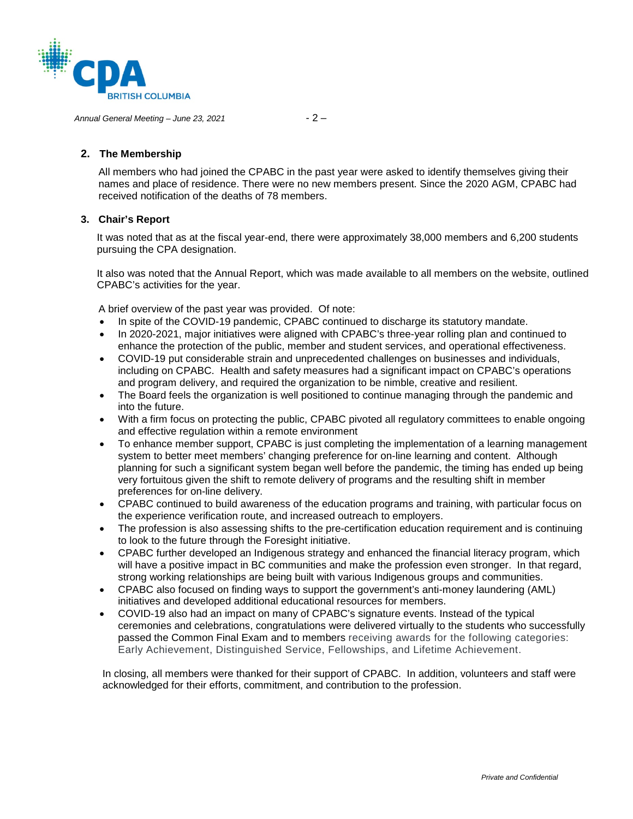

*Annual General Meeting – June 23, 2021* - 2 –

### **2. The Membership**

All members who had joined the CPABC in the past year were asked to identify themselves giving their names and place of residence. There were no new members present. Since the 2020 AGM, CPABC had received notification of the deaths of 78 members.

### **3. Chair's Report**

It was noted that as at the fiscal year-end, there were approximately 38,000 members and 6,200 students pursuing the CPA designation.

It also was noted that the Annual Report, which was made available to all members on the website, outlined CPABC's activities for the year.

A brief overview of the past year was provided. Of note:

- In spite of the COVID-19 pandemic, CPABC continued to discharge its statutory mandate.
- In 2020-2021, major initiatives were aligned with CPABC's three-year rolling plan and continued to enhance the protection of the public, member and student services, and operational effectiveness.
- COVID-19 put considerable strain and unprecedented challenges on businesses and individuals, including on CPABC. Health and safety measures had a significant impact on CPABC's operations and program delivery, and required the organization to be nimble, creative and resilient.
- The Board feels the organization is well positioned to continue managing through the pandemic and into the future.
- With a firm focus on protecting the public, CPABC pivoted all regulatory committees to enable ongoing and effective regulation within a remote environment
- To enhance member support, CPABC is just completing the implementation of a learning management system to better meet members' changing preference for on-line learning and content. Although planning for such a significant system began well before the pandemic, the timing has ended up being very fortuitous given the shift to remote delivery of programs and the resulting shift in member preferences for on-line delivery.
- CPABC continued to build awareness of the education programs and training, with particular focus on the experience verification route, and increased outreach to employers.
- The profession is also assessing shifts to the pre-certification education requirement and is continuing to look to the future through the Foresight initiative.
- CPABC further developed an Indigenous strategy and enhanced the financial literacy program, which will have a positive impact in BC communities and make the profession even stronger. In that regard, strong working relationships are being built with various Indigenous groups and communities.
- CPABC also focused on finding ways to support the government's anti-money laundering (AML) initiatives and developed additional educational resources for members.
- COVID-19 also had an impact on many of CPABC's signature events. Instead of the typical ceremonies and celebrations, congratulations were delivered virtually to the students who successfully passed the Common Final Exam and to members receiving awards for the following categories: Early Achievement, Distinguished Service, Fellowships, and Lifetime Achievement.

In closing, all members were thanked for their support of CPABC. In addition, volunteers and staff were acknowledged for their efforts, commitment, and contribution to the profession.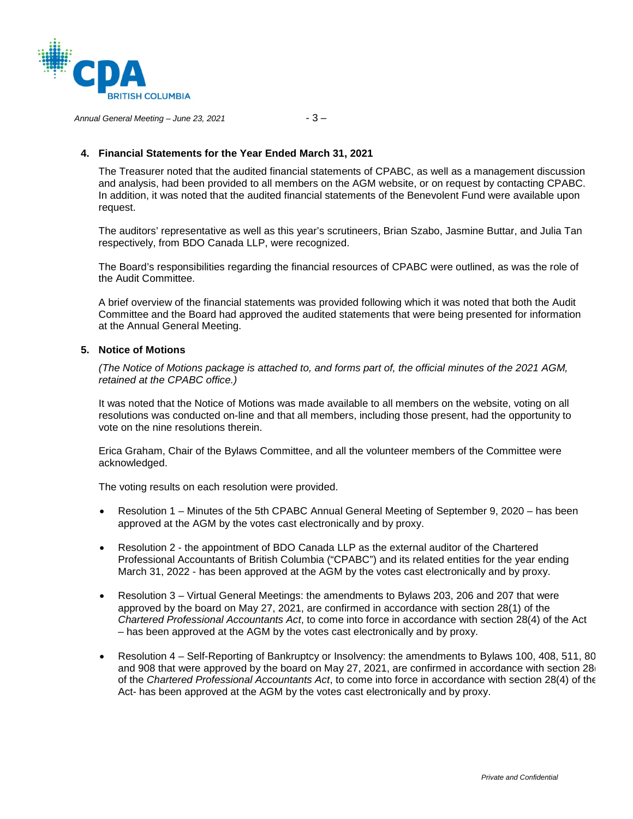

*Annual General Meeting – June 23, 2021* - 3 –

#### **4. Financial Statements for the Year Ended March 31, 2021**

The Treasurer noted that the audited financial statements of CPABC, as well as a management discussion and analysis, had been provided to all members on the AGM website, or on request by contacting CPABC. In addition, it was noted that the audited financial statements of the Benevolent Fund were available upon request.

The auditors' representative as well as this year's scrutineers, Brian Szabo, Jasmine Buttar, and Julia Tan respectively, from BDO Canada LLP, were recognized.

The Board's responsibilities regarding the financial resources of CPABC were outlined, as was the role of the Audit Committee.

A brief overview of the financial statements was provided following which it was noted that both the Audit Committee and the Board had approved the audited statements that were being presented for information at the Annual General Meeting.

#### **5. Notice of Motions**

*(The Notice of Motions package is attached to, and forms part of, the official minutes of the 2021 AGM, retained at the CPABC office.)* 

It was noted that the Notice of Motions was made available to all members on the website, voting on all resolutions was conducted on-line and that all members, including those present, had the opportunity to vote on the nine resolutions therein.

Erica Graham, Chair of the Bylaws Committee, and all the volunteer members of the Committee were acknowledged.

The voting results on each resolution were provided.

- Resolution 1 Minutes of the 5th CPABC Annual General Meeting of September 9, 2020 has been approved at the AGM by the votes cast electronically and by proxy.
- Resolution 2 the appointment of BDO Canada LLP as the external auditor of the Chartered Professional Accountants of British Columbia ("CPABC") and its related entities for the year ending March 31, 2022 - has been approved at the AGM by the votes cast electronically and by proxy.
- Resolution 3 Virtual General Meetings: the amendments to Bylaws 203, 206 and 207 that were approved by the board on May 27, 2021, are confirmed in accordance with section 28(1) of the *Chartered Professional Accountants Act*, to come into force in accordance with section 28(4) of the Act – has been approved at the AGM by the votes cast electronically and by proxy.
- Resolution 4 Self-Reporting of Bankruptcy or Insolvency: the amendments to Bylaws 100, 408, 511, 80 and 908 that were approved by the board on May 27, 2021, are confirmed in accordance with section 28 of the *Chartered Professional Accountants Act*, to come into force in accordance with section 28(4) of the Act- has been approved at the AGM by the votes cast electronically and by proxy.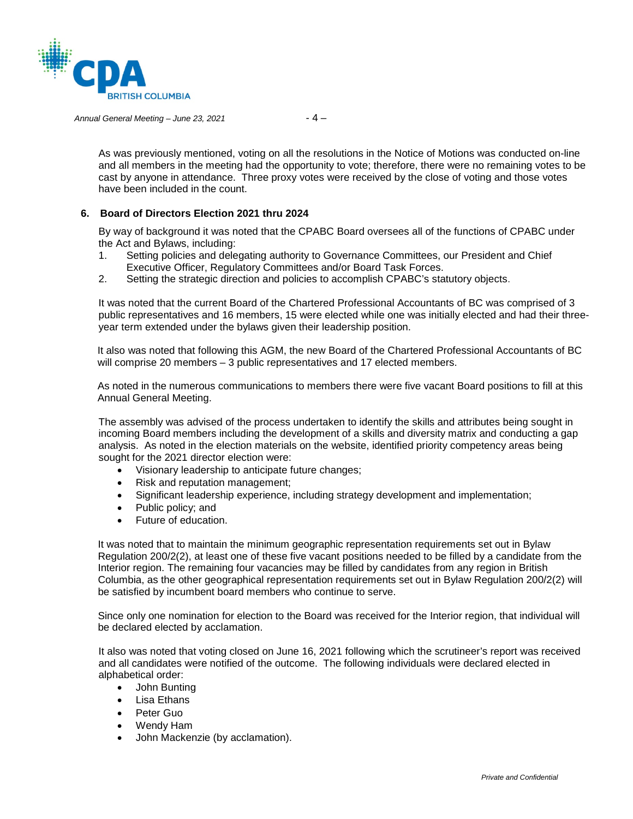

*Annual General Meeting – June 23, 2021* - 4 –

As was previously mentioned, voting on all the resolutions in the Notice of Motions was conducted on-line and all members in the meeting had the opportunity to vote; therefore, there were no remaining votes to be cast by anyone in attendance. Three proxy votes were received by the close of voting and those votes have been included in the count.

#### **6. Board of Directors Election 2021 thru 2024**

By way of background it was noted that the CPABC Board oversees all of the functions of CPABC under the Act and Bylaws, including:

- 1. Setting policies and delegating authority to Governance Committees, our President and Chief Executive Officer, Regulatory Committees and/or Board Task Forces.
- 2. Setting the strategic direction and policies to accomplish CPABC's statutory objects.

It was noted that the current Board of the Chartered Professional Accountants of BC was comprised of 3 public representatives and 16 members, 15 were elected while one was initially elected and had their threeyear term extended under the bylaws given their leadership position.

It also was noted that following this AGM, the new Board of the Chartered Professional Accountants of BC will comprise 20 members – 3 public representatives and 17 elected members.

As noted in the numerous communications to members there were five vacant Board positions to fill at this Annual General Meeting.

The assembly was advised of the process undertaken to identify the skills and attributes being sought in incoming Board members including the development of a skills and diversity matrix and conducting a gap analysis. As noted in the election materials on the website, identified priority competency areas being sought for the 2021 director election were:

- Visionary leadership to anticipate future changes;
- Risk and reputation management;
- Significant leadership experience, including strategy development and implementation;
- Public policy; and
- Future of education.

It was noted that to maintain the minimum geographic representation requirements set out in Bylaw Regulation 200/2(2), at least one of these five vacant positions needed to be filled by a candidate from the Interior region. The remaining four vacancies may be filled by candidates from any region in British Columbia, as the other geographical representation requirements set out in Bylaw Regulation 200/2(2) will be satisfied by incumbent board members who continue to serve.

Since only one nomination for election to the Board was received for the Interior region, that individual will be declared elected by acclamation.

It also was noted that voting closed on June 16, 2021 following which the scrutineer's report was received and all candidates were notified of the outcome. The following individuals were declared elected in alphabetical order:

- John Bunting
- Lisa Ethans
- Peter Guo
- Wendy Ham
- John Mackenzie (by acclamation).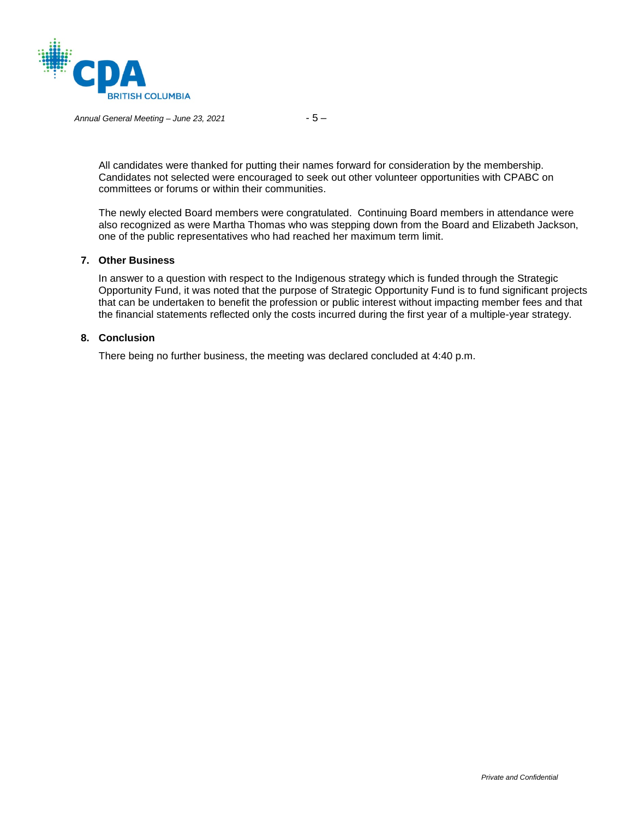

#### *Annual General Meeting – June 23, 2021* - 5 –

All candidates were thanked for putting their names forward for consideration by the membership. Candidates not selected were encouraged to seek out other volunteer opportunities with CPABC on committees or forums or within their communities.

The newly elected Board members were congratulated. Continuing Board members in attendance were also recognized as were Martha Thomas who was stepping down from the Board and Elizabeth Jackson, one of the public representatives who had reached her maximum term limit.

#### **7. Other Business**

In answer to a question with respect to the Indigenous strategy which is funded through the Strategic Opportunity Fund, it was noted that the purpose of Strategic Opportunity Fund is to fund significant projects that can be undertaken to benefit the profession or public interest without impacting member fees and that the financial statements reflected only the costs incurred during the first year of a multiple-year strategy.

#### **8. Conclusion**

There being no further business, the meeting was declared concluded at 4:40 p.m.